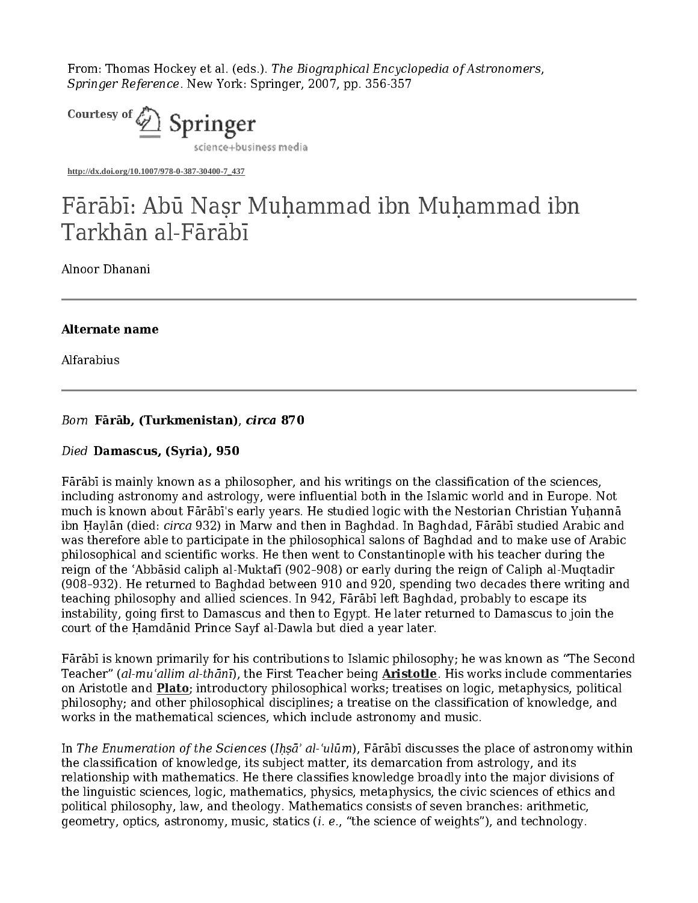From: Thomas Hockey et al. (eds.). The Biographical Encyclopedia of Astronomers, Springer Reference. New York: Springer, 2007, pp. 356-357



**http://dx.doi.org/10.1007/978-0-387-30400-7\_437**

Tarkhān al-Fārābī<br>
Alnoor Dhanani<br>
Alnoor Dhanani<br>
Alnoor Dhanani<br>
Alternate anne<br>
Alfernate anne<br>
Alfernate anne<br>
Muhammad is philosopher, and his withings on the classification of the science<br>
Farābī is mainly known as Alhoor Dhanani<br> **Alternate name**<br>
Alfarabius<br> **Born Fàràb, (Turkmenistan), ci**<br>
Died **Damascus, (Syria), 950**<br>
Fàràbī is mainly known as a philosinculuing astronomy and astrology<br>
imcluding astronomy and astrology<br>
ibn Hay **Alternate name:**<br> **Alternate name:**<br>
Alfarabius<br>
Born F**ārāb, (T**i<br>
Died **Damascus**<br>
Fārābī is mainly<br>
including astron<br>
much is known a<br>
ibn Haylān (died<br>
was therefore al<br>
philosophical an<br>
reign of the 'Abk<br>
(908-932). Alfarabius<br> **Born Fārāb, (Tunist angle 15 mail (Tunist Alfarabi)**<br>
Fārābī is mainly k<br>
including astronom<br>
much is known ab<br>
ibn Ḥaylān (died:<br>
was therefore abl<br>
philosophical and<br>
reign of the ʿAbbā<br>
(908-932). He ret<br>
t Born Fārā<br>Died Dam<br>Fārābī is r<br>Fārābī is r<br>including<br>much is kr<br>ibn Ḥaylāī<br>was therel<br>philosophi<br>teaching p<br>instability<br>court of th<br>Fārābī is k<br>Teacher" (on Aristotl<br>philosophy<br>works in t<br>In *The Eni*<br>the classif<br>the class Born **Fārāb, (Turkmenistan), circa 870**<br>Died **Damascus, (Syria), 950**<br>Died **Damascus, (Syria), 950**<br>Fārābī is mainly known as a philosopher, a<br>including astronomy and astrology, were in<br>much is known about Fārābī's early Died **Damascus, (Syria), 950**<br>Fārābī is mainly known as a phi<br>including astronomy and astrolo<br>much is known about Fārābī's e<br>ibn Ḥaylān (died: *circa* 932) in l<br>was therefore able to participat<br>philosophical and scientific Fārābī is mainly known as a philosopher, and his writings on the classification of the sciences, including astronomy and astrology, were influential both in the Islamic world and in Europe. Not much is known about Fārābī's early years. He studied logic with the Nestorian Christian Yuhannā ibn Ḥaylān (died: circa 932) in Marw and then in Baghdad. In Baghdad, Fārābī studied Arabic and was therefore able to participate in the philosophical salons of Baghdad and to make use of Arabic philosophical and scientific works. He then went to Constantinople with his teacher during the reign of the ʿAbbāsid caliph al‐Muktafī (902–908) or early during the reign of Caliph al‐Muqtadir (908–932). He returned to Baghdad between 910 and 920, spending two decades there writing and teaching philosophy and allied sciences. In 942, Fārābī left Baghdad, probably to escape its instability, going first to Damascus and then to Egypt. He later returned to Damascus to join the court of the Ḥamdānid Prince Sayf al‐Dawla but died a year later.

Fārābī is known primarily for his contributions to Islamic philosophy; he was known as "The Second philosophy; and other philosophical disciplines; a treatise on the classification of knowledge, and works in the mathematical sciences, which include astronomy and music.

Teacher" (al-mu'allim al-thānī), the First Teacher being Aristotle. His works include commentaries<br>on Aristotle and Plato, introductory philosophical works; treatises on logic, metaphysics, political<br>philosophy; and other on Aristotle and <u>Plato</u>; introductory philosophical works; treatises on logic, metaphysics, political<br>philosophy; and other philosophical disciplines; a treatise on the classification of knowledge, and<br>works in the mathem In The Enumeration of the Sciences (Ihsā' al-'ulūm), Fārābī discusses the place of astronomy within the classification of knowledge, its subject matter, its demarcation from astrology, and its relationship with mathematics. He there classifies knowledge broadly into the major divisions of the linguistic sciences, logic, mathematics, physics, metaphysics, the civic sciences of ethics and political philosophy, law, and theology. Mathematics consists of seven branches: arithmetic, geometry, optics, astronomy, music, statics (i. e., "the science of weights"), and technology.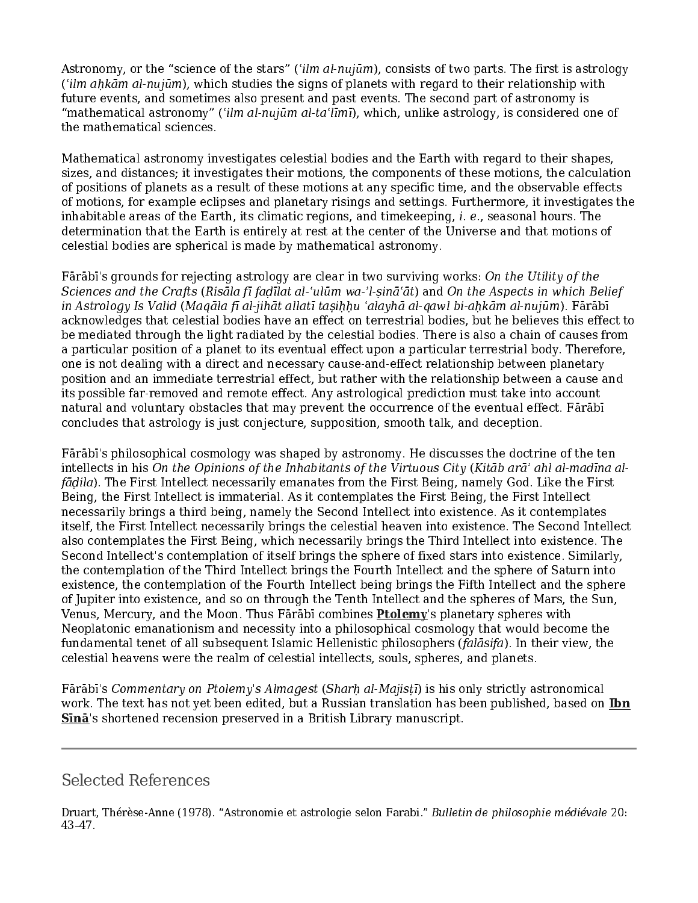Astronomy, or the "science of the stars" ('ilm al-nujūm), consists of two parts. The first is astrology  $(i)$  m ahkām al-nu $(i)$ , which studies the signs of planets with regard to their relationship with future events, and sometimes also present and past events. The second part of astronomy is "mathematical astronomy" ('ilm al-nujūm al-ta'līmī), which, unlike astrology, is considered one of the mathematical sciences.

Mathematical astronomy investigates celestial bodies and the Earth with regard to their shapes, sizes, and distances; it investigates their motions, the components of these motions, the calculation of positions of planets as a result of these motions at any specific time, and the observable effects of motions, for example eclipses and planetary risings and settings. Furthermore, it investigates the inhabitable areas of the Earth, its climatic regions, and timekeeping, i. e., seasonal hours. The determination that the Earth is entirely at rest at the center of the Universe and that motions of celestial bodies are spherical is made by mathematical astronomy.

Fārābī's grounds for rejecting astrology are clear in two surviving works: On the Utility of the Sciences and the Crafts (Risāla fī faḍīlat al‐ʿulūm wa‐ʾl‐ṣināʿāt) and On the Aspects in which Belief in Astrology Is Valid (Maqāla fī al‐jihāt allatī taṣiḥḥu ʿalayhā al‐qawl bi‐aḥkām al‐nujūm). Fārābī acknowledges that celestial bodies have an effect on terrestrial bodies, but he believes this effect to be mediated through the light radiated by the celestial bodies. There is also a chain of causes from a particular position of a planet to its eventual effect upon a particular terrestrial body. Therefore, one is not dealing with a direct and necessary cause‐and‐effect relationship between planetary position and an immediate terrestrial effect, but rather with the relationship between a cause and its possible far-removed and remote effect. Any astrological prediction must take into account natural and voluntary obstacles that may prevent the occurrence of the eventual effect. Fārābī concludes that astrology is just conjecture, supposition, smooth talk, and deception.

Fārābī's philosophical cosmology was shaped by astronomy. He discusses the doctrine of the ten intellects in his On the Opinions of the Inhabitants of the Virtuous City (Kitab ara<sup>'</sup> ahl al-madīna alfāḍila). The First Intellect necessarily emanates from the First Being, namely God. Like the First Being, the First Intellect is immaterial. As it contemplates the First Being, the First Intellect necessarily brings a third being, namely the Second Intellect into existence. As it contemplates itself, the First Intellect necessarily brings the celestial heaven into existence. The Second Intellect also contemplates the First Being, which necessarily brings the Third Intellect into existence. The Second Intellect's contemplation of itself brings the sphere of fixed stars into existence. Similarly, the contemplation of the Third Intellect brings the Fourth Intellect and the sphere of Saturn into existence, the contemplation of the Fourth Intellect being brings the Fifth Intellect and the sphere of Jupiter into existence, and so on through the Tenth Intellect and the spheres of Mars, the Sun, Venus, Mercury, and the Moon. Thus Fārābī combines Ptolemy's planetary spheres with Neoplatonic emanationism and necessity into a philosophical cosmology that would become the fundamental tenet of all subsequent Islamic Hellenistic philosophers (falāsifa). In their view, the celestial heavens were the realm of celestial intellects, souls, spheres, and planets.

Fārābī's Commentary on Ptolemy's Almagest (Sharh al-Majistī) is his only strictly astronomical work. The text has not yet been edited, but a Russian translation has been published, based on Ibn Sīnā's shortened recension preserved in a British Library manuscript.

# Selected References Selected References

Druart, Thérèse‐Anne (1978). "Astronomie et astrologie selon Farabi." Bulletin de philosophie médiévale 20: 43–47.